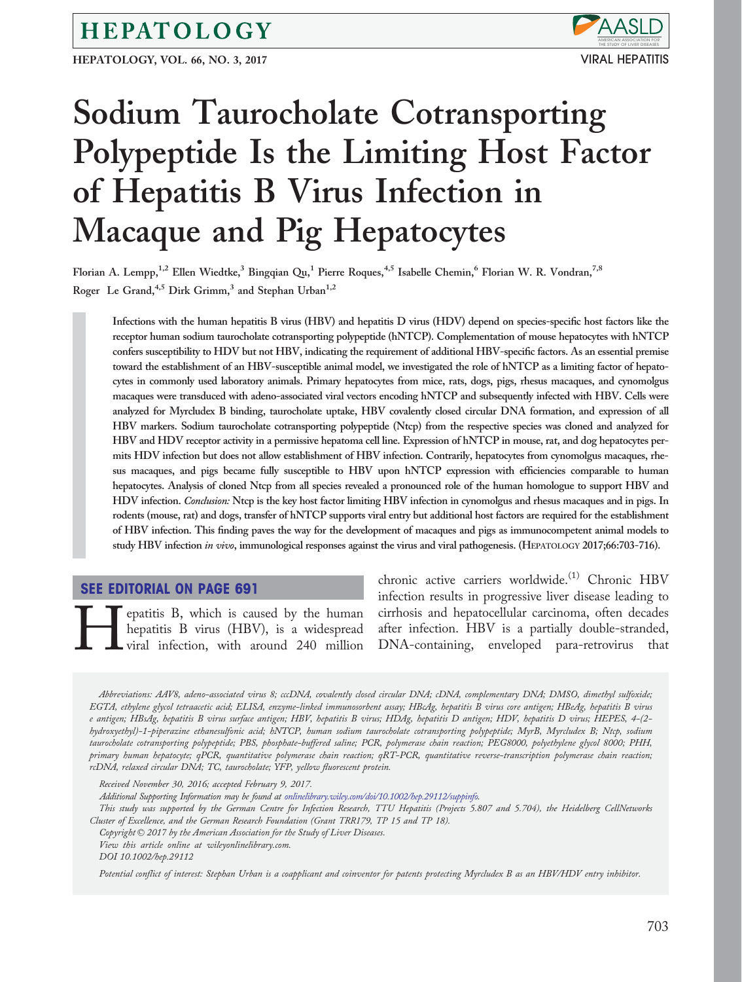### HEPATOLOGY

HEPATOLOGY, VOL. 66, NO. 3, 2017 VIRAL HEPATITIS



# Sodium Taurocholate Cotransporting Polypeptide Is the Limiting Host Factor of Hepatitis B Virus Infection in Macaque and Pig Hepatocytes

Florian A. Lempp,<sup>1,2</sup> Ellen Wiedtke,<sup>3</sup> Bingqian Qu,<sup>1</sup> Pierre Roques,<sup>4,5</sup> Isabelle Chemin,<sup>6</sup> Florian W. R. Vondran,<sup>7,8</sup> Roger Le Grand,  $4.5$  Dirk Grimm,<sup>3</sup> and Stephan Urban<sup>1,2</sup>

Infections with the human hepatitis B virus (HBV) and hepatitis D virus (HDV) depend on species-specific host factors like the receptor human sodium taurocholate cotransporting polypeptide (hNTCP). Complementation of mouse hepatocytes with hNTCP confers susceptibility to HDV but not HBV, indicating the requirement of additional HBV-specific factors. As an essential premise toward the establishment of an HBV-susceptible animal model, we investigated the role of hNTCP as a limiting factor of hepatocytes in commonly used laboratory animals. Primary hepatocytes from mice, rats, dogs, pigs, rhesus macaques, and cynomolgus macaques were transduced with adeno-associated viral vectors encoding hNTCP and subsequently infected with HBV. Cells were analyzed for Myrcludex B binding, taurocholate uptake, HBV covalently closed circular DNA formation, and expression of all HBV markers. Sodium taurocholate cotransporting polypeptide (Ntcp) from the respective species was cloned and analyzed for HBV and HDV receptor activity in a permissive hepatoma cell line. Expression of hNTCP in mouse, rat, and dog hepatocytes permits HDV infection but does not allow establishment of HBV infection. Contrarily, hepatocytes from cynomolgus macaques, rhesus macaques, and pigs became fully susceptible to HBV upon hNTCP expression with efficiencies comparable to human hepatocytes. Analysis of cloned Ntcp from all species revealed a pronounced role of the human homologue to support HBV and HDV infection. Conclusion: Ntcp is the key host factor limiting HBV infection in cynomolgus and rhesus macaques and in pigs. In rodents (mouse, rat) and dogs, transfer of hNTCP supports viral entry but additional host factors are required for the establishment of HBV infection. This finding paves the way for the development of macaques and pigs as immunocompetent animal models to study HBV infection in vivo, immunological responses against the virus and viral pathogenesis. (HEPATOLOGY 2017;66:703-716).

#### [SEE EDITORIAL ON PAGE 691](http://onlinelibrary.wiley.com/doi/10.1002/hep.29249/full)

**Hepatitis B, which is caused by the human hepatitis B virus (HBV), is a widespread viral infection, with around 240 million** hepatitis B virus (HBV), is a widespread viral infection, with around 240 million chronic active carriers worldwide.<sup>(1)</sup> Chronic HBV infection results in progressive liver disease leading to cirrhosis and hepatocellular carcinoma, often decades after infection. HBV is a partially double-stranded, DNA-containing, enveloped para-retrovirus that

Abbreviations: AAV8, adeno-associated virus 8; cccDNA, covalently closed circular DNA; cDNA, complementary DNA; DMSO, dimethyl sulfoxide; EGTA, ethylene glycol tetraacetic acid; ELISA, enzyme-linked immunosorbent assay; HBcAg, hepatitis B virus core antigen; HBeAg, hepatitis B virus e antigen; HBsAg, hepatitis B virus surface antigen; HBV, hepatitis B virus; HDAg, hepatitis D antigen; HDV, hepatitis D virus; HEPES, 4-(2 hydroxyethyl)-1-piperazine ethanesulfonic acid; hNTCP, human sodium taurocholate cotransporting polypeptide; MyrB, Myrcludex B; Ntcp, sodium taurocholate cotransporting polypeptide; PBS, phosphate-buffered saline; PCR, polymerase chain reaction; PEG8000, polyethylene glycol 8000; PHH, primary human hepatocyte; qPCR, quantitative polymerase chain reaction; qRT-PCR, quantitative reverse-transcription polymerase chain reaction; rcDNA, relaxed circular DNA; TC, taurocholate; YFP, yellow fluorescent protein.

Additional Supporting Information may be found at [onlinelibrary.wiley.com/doi/10.1002/hep.29112/suppinfo](http://onlinelibrary.wiley.com/doi/10.1002/hep.29112/suppinfo).

This study was supported by the German Centre for Infection Research, TTU Hepatitis (Projects 5.807 and 5.704), the Heidelberg CellNetworks Cluster of Excellence, and the German Research Foundation (Grant TRR179, TP 15 and TP 18).

Copyright  $\odot$  2017 by the American Association for the Study of Liver Diseases.

View this article online at wileyonlinelibrary.com.

DOI 10.1002/hep.29112

Potential conflict of interest: Stephan Urban is a coapplicant and coinventor for patents protecting Myrcludex B as an HBV/HDV entry inhibitor.

Received November 30, 2016; accepted February 9, 2017.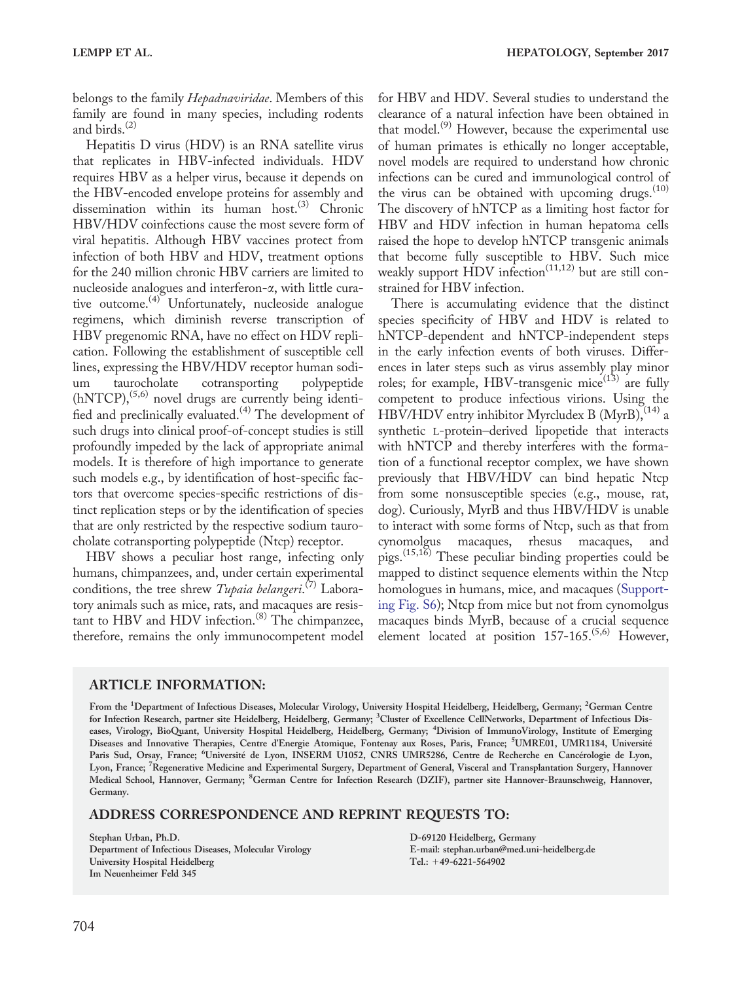belongs to the family Hepadnaviridae. Members of this family are found in many species, including rodents and birds. $^{(2)}$ 

Hepatitis D virus (HDV) is an RNA satellite virus that replicates in HBV-infected individuals. HDV requires HBV as a helper virus, because it depends on the HBV-encoded envelope proteins for assembly and dissemination within its human host.<sup>(3)</sup> Chronic HBV/HDV coinfections cause the most severe form of viral hepatitis. Although HBV vaccines protect from infection of both HBV and HDV, treatment options for the 240 million chronic HBV carriers are limited to nucleoside analogues and interferon-a, with little curative outcome. $(4)$  Unfortunately, nucleoside analogue regimens, which diminish reverse transcription of HBV pregenomic RNA, have no effect on HDV replication. Following the establishment of susceptible cell lines, expressing the HBV/HDV receptor human sodium taurocholate cotransporting polypeptide  $(hNTCP)$ ,<sup> $(5,6)$ </sup> novel drugs are currently being identified and preclinically evaluated.(4) The development of such drugs into clinical proof-of-concept studies is still profoundly impeded by the lack of appropriate animal models. It is therefore of high importance to generate such models e.g., by identification of host-specific factors that overcome species-specific restrictions of distinct replication steps or by the identification of species that are only restricted by the respective sodium taurocholate cotransporting polypeptide (Ntcp) receptor.

HBV shows a peculiar host range, infecting only humans, chimpanzees, and, under certain experimental conditions, the tree shrew Tupaia belangeri.<sup>(7)</sup> Laboratory animals such as mice, rats, and macaques are resistant to HBV and HDV infection. $(8)$  The chimpanzee, therefore, remains the only immunocompetent model

for HBV and HDV. Several studies to understand the clearance of a natural infection have been obtained in that model. $^{(9)}$  However, because the experimental use of human primates is ethically no longer acceptable, novel models are required to understand how chronic infections can be cured and immunological control of the virus can be obtained with upcoming drugs. $(10)$ The discovery of hNTCP as a limiting host factor for HBV and HDV infection in human hepatoma cells raised the hope to develop hNTCP transgenic animals that become fully susceptible to HBV. Such mice weakly support HDV infection<sup> $(11,12)$ </sup> but are still constrained for HBV infection.

There is accumulating evidence that the distinct species specificity of HBV and HDV is related to hNTCP-dependent and hNTCP-independent steps in the early infection events of both viruses. Differences in later steps such as virus assembly play minor roles; for example, HBV-transgenic mice $^{(13)}$  are fully competent to produce infectious virions. Using the HBV/HDV entry inhibitor Myrcludex B (MyrB),  $(14)$  a synthetic L-protein–derived lipopetide that interacts with hNTCP and thereby interferes with the formation of a functional receptor complex, we have shown previously that HBV/HDV can bind hepatic Ntcp from some nonsusceptible species (e.g., mouse, rat, dog). Curiously, MyrB and thus HBV/HDV is unable to interact with some forms of Ntcp, such as that from cynomolgus macaques, rhesus macaques, and pigs.(15,16) These peculiar binding properties could be mapped to distinct sequence elements within the Ntcp homologues in humans, mice, and macaques [\(Support](http://onlinelibrary.wiley.com/doi/10.1002/hep.29112/suppinfo)[ing Fig. S6](http://onlinelibrary.wiley.com/doi/10.1002/hep.29112/suppinfo)); Ntcp from mice but not from cynomolgus macaques binds MyrB, because of a crucial sequence element located at position  $157-165$ .<sup> $(5,6)$ </sup> However,

#### ARTICLE INFORMATION:

From the <sup>1</sup>Department of Infectious Diseases, Molecular Virology, University Hospital Heidelberg, Heidelberg, Germany; <sup>2</sup>German Centre for Infection Research, partner site Heidelberg, Heidelberg, Germany; <sup>3</sup>Cluster of Excellence CellNetworks, Department of Infectious Diseases, Virology, BioQuant, University Hospital Heidelberg, Heidelberg, Germany; <sup>4</sup>Division of ImmunoVirology, Institute of Emerging Diseases and Innovative Therapies, Centre d'Energie Atomique, Fontenay aux Roses, Paris, France; <sup>5</sup>UMRE01, UMR1184, Université Paris Sud, Orsay, France; <sup>6</sup>Université de Lyon, INSERM U1052, CNRS UMR5286, Centre de Recherche en Cancérologie de Lyon, Lyon, France; <sup>7</sup> Regenerative Medicine and Experimental Surgery, Department of General, Visceral and Transplantation Surgery, Hannover Medical School, Hannover, Germany; <sup>8</sup> German Centre for Infection Research (DZIF), partner site Hannover-Braunschweig, Hannover, Germany.

#### ADDRESS CORRESPONDENCE AND REPRINT REQUESTS TO:

Stephan Urban, Ph.D. Department of Infectious Diseases, Molecular Virology University Hospital Heidelberg Im Neuenheimer Feld 345

D-69120 Heidelberg, Germany E-mail: stephan.urban@med.uni-heidelberg.de Tel.: +49-6221-564902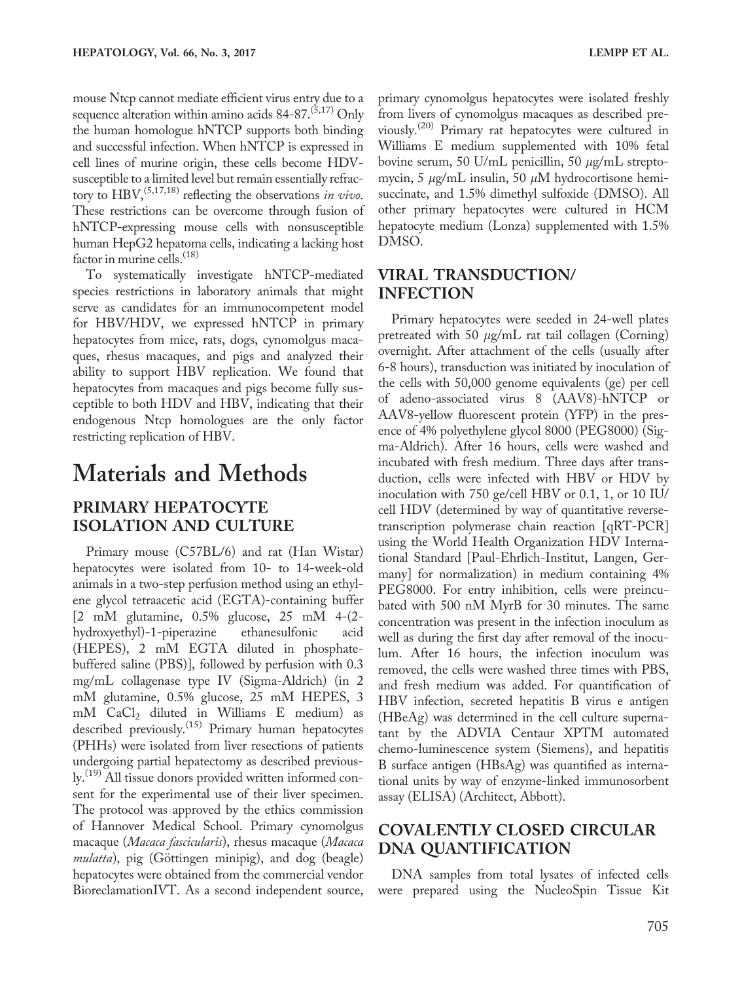mouse Ntcp cannot mediate efficient virus entry due to a sequence alteration within amino acids  $84-87$ .<sup>(5,17)</sup> Only the human homologue hNTCP supports both binding and successful infection. When hNTCP is expressed in cell lines of murine origin, these cells become HDVsusceptible to a limited level but remain essentially refractory to  $HBV$ ,<sup> $(5,17,18)$ </sup> reflecting the observations in vivo. These restrictions can be overcome through fusion of hNTCP-expressing mouse cells with nonsusceptible human HepG2 hepatoma cells, indicating a lacking host factor in murine cells.<sup>(18)</sup>

To systematically investigate hNTCP-mediated species restrictions in laboratory animals that might serve as candidates for an immunocompetent model for HBV/HDV, we expressed hNTCP in primary hepatocytes from mice, rats, dogs, cynomolgus macaques, rhesus macaques, and pigs and analyzed their ability to support HBV replication. We found that hepatocytes from macaques and pigs become fully susceptible to both HDV and HBV, indicating that their endogenous Ntcp homologues are the only factor restricting replication of HBV.

## Materials and Methods

### PRIMARY HEPATOCYTE ISOLATION AND CULTURE

Primary mouse (C57BL/6) and rat (Han Wistar) hepatocytes were isolated from 10- to 14-week-old animals in a two-step perfusion method using an ethylene glycol tetraacetic acid (EGTA)-containing buffer [2 mM glutamine, 0.5% glucose, 25 mM 4-(2 hydroxyethyl)-1-piperazine ethanesulfonic acid (HEPES), 2 mM EGTA diluted in phosphatebuffered saline (PBS)], followed by perfusion with 0.3 mg/mL collagenase type IV (Sigma-Aldrich) (in 2 mM glutamine, 0.5% glucose, 25 mM HEPES, 3 mM CaCl2 diluted in Williams E medium) as described previously.<sup>(15)</sup> Primary human hepatocytes (PHHs) were isolated from liver resections of patients undergoing partial hepatectomy as described previously.<sup>(19)</sup> All tissue donors provided written informed consent for the experimental use of their liver specimen. The protocol was approved by the ethics commission of Hannover Medical School. Primary cynomolgus macaque (Macaca fascicularis), rhesus macaque (Macaca mulatta), pig (Göttingen minipig), and dog (beagle) hepatocytes were obtained from the commercial vendor BioreclamationIVT. As a second independent source,

primary cynomolgus hepatocytes were isolated freshly from livers of cynomolgus macaques as described previously.(20) Primary rat hepatocytes were cultured in Williams E medium supplemented with 10% fetal bovine serum, 50 U/mL penicillin, 50  $\mu$ g/mL streptomycin, 5  $\mu$ g/mL insulin, 50  $\mu$ M hydrocortisone hemisuccinate, and 1.5% dimethyl sulfoxide (DMSO). All other primary hepatocytes were cultured in HCM hepatocyte medium (Lonza) supplemented with 1.5% DMSO.

#### VIRAL TRANSDUCTION/ INFECTION

Primary hepatocytes were seeded in 24-well plates pretreated with 50  $\mu$ g/mL rat tail collagen (Corning) overnight. After attachment of the cells (usually after 6-8 hours), transduction was initiated by inoculation of the cells with 50,000 genome equivalents (ge) per cell of adeno-associated virus 8 (AAV8)-hNTCP or AAV8-yellow fluorescent protein (YFP) in the presence of 4% polyethylene glycol 8000 (PEG8000) (Sigma-Aldrich). After 16 hours, cells were washed and incubated with fresh medium. Three days after transduction, cells were infected with HBV or HDV by inoculation with 750 ge/cell HBV or 0.1, 1, or 10 IU/ cell HDV (determined by way of quantitative reversetranscription polymerase chain reaction [qRT-PCR] using the World Health Organization HDV International Standard [Paul-Ehrlich-Institut, Langen, Germany] for normalization) in medium containing 4% PEG8000. For entry inhibition, cells were preincubated with 500 nM MyrB for 30 minutes. The same concentration was present in the infection inoculum as well as during the first day after removal of the inoculum. After 16 hours, the infection inoculum was removed, the cells were washed three times with PBS, and fresh medium was added. For quantification of HBV infection, secreted hepatitis B virus e antigen (HBeAg) was determined in the cell culture supernatant by the ADVIA Centaur XPTM automated chemo-luminescence system (Siemens), and hepatitis B surface antigen (HBsAg) was quantified as international units by way of enzyme-linked immunosorbent assay (ELISA) (Architect, Abbott).

#### COVALENTLY CLOSED CIRCULAR DNA QUANTIFICATION

DNA samples from total lysates of infected cells were prepared using the NucleoSpin Tissue Kit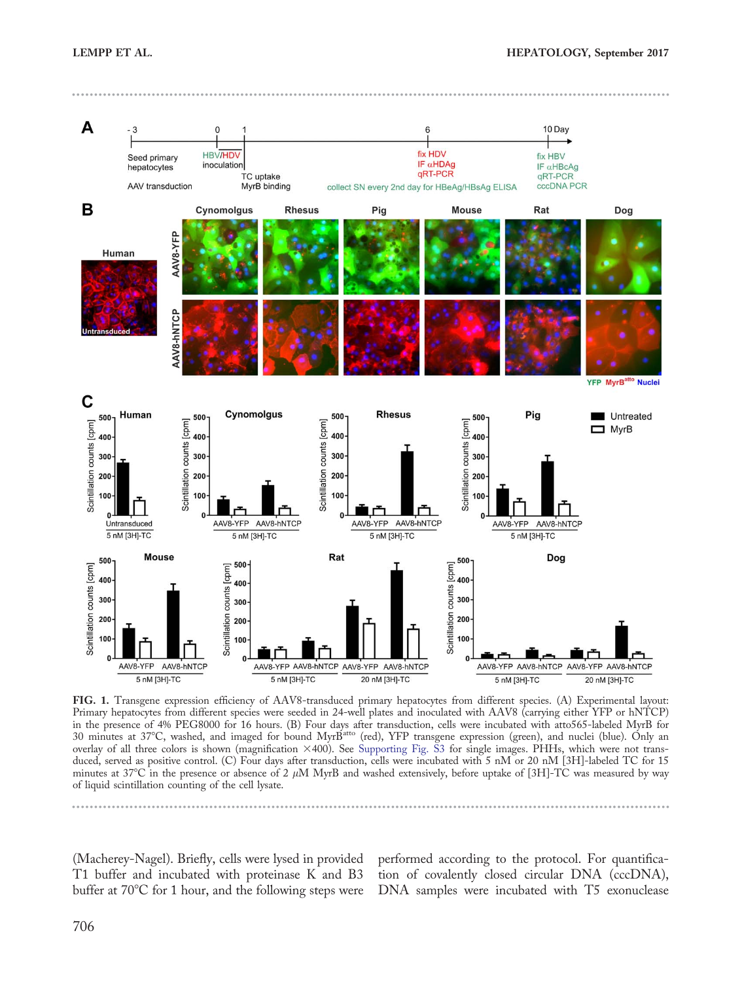



FIG. 1. Transgene expression efficiency of AAV8-transduced primary hepatocytes from different species. (A) Experimental layout: Primary hepatocytes from different species were seeded in 24-well plates and inoculated with AAV8 (carrying either YFP or hNTCP) in the presence of 4% PEG8000 for 16 hours. (B) Four days after transduction, cells were incubated with atto565-labeled MyrB for<br>30 minutes at 37°C, washed, and imaged for bound MyrB<sup>atto</sup> (red), YFP transgene expression ( overlay of all three colors is shown (magnification ×400). See [Supporting Fig. S3](http://onlinelibrary.wiley.com/doi/10.1002/hep.29112/suppinfo) for single images. PHHs, which were not transduced, served as positive control. (C) Four days after transduction, cells were incubated with 5 nM or 20 nM [3H]-labeled TC for 15 minutes at  $37^{\circ}$ C in the presence or absence of 2  $\mu$ M MyrB and washed extensively, before uptake of [3H]-TC was measured by way of liquid scintillation counting of the cell lysate.

(Macherey-Nagel). Briefly, cells were lysed in provided T1 buffer and incubated with proteinase K and B3 buffer at  $70^{\circ}$ C for 1 hour, and the following steps were

performed according to the protocol. For quantification of covalently closed circular DNA (cccDNA), DNA samples were incubated with T5 exonuclease

------------------------------------------------------------------------------------------------------------------------------- --------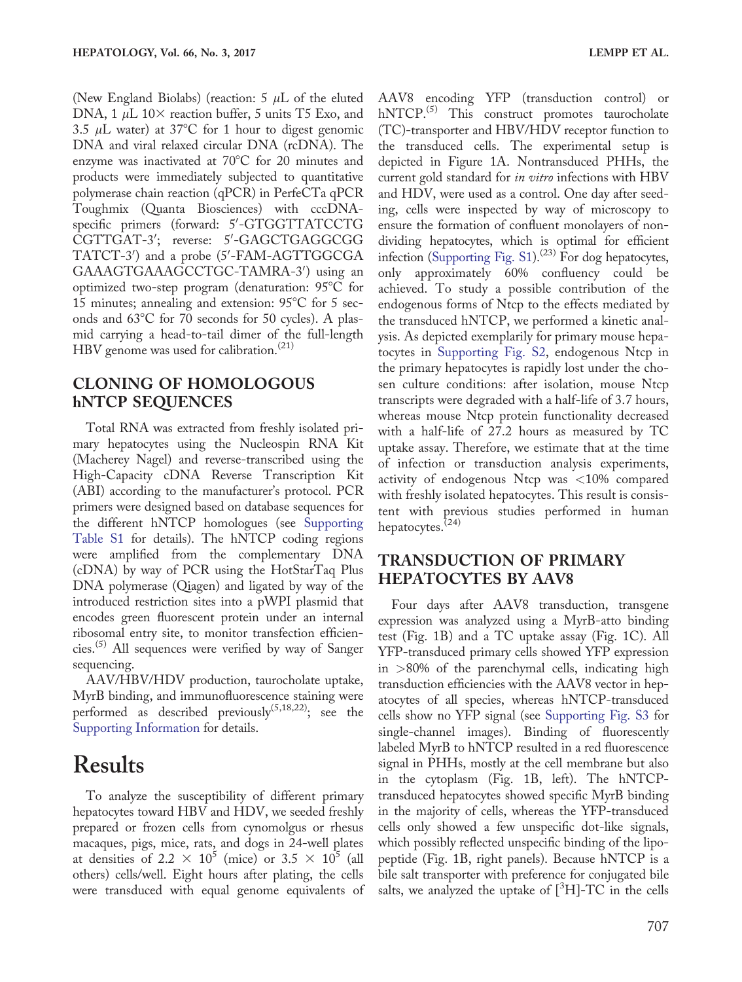(New England Biolabs) (reaction: 5  $\mu$ L of the eluted DNA, 1  $\mu$ L 10 $\times$  reaction buffer, 5 units T5 Exo, and 3.5  $\mu$ L water) at 37°C for 1 hour to digest genomic DNA and viral relaxed circular DNA (rcDNA). The enzyme was inactivated at  $70^{\circ}$ C for 20 minutes and products were immediately subjected to quantitative polymerase chain reaction (qPCR) in PerfeCTa qPCR Toughmix (Quanta Biosciences) with cccDNAspecific primers (forward: 5'-GTGGTTATCCTG CGTTGAT-3'; reverse: 5'-GAGCTGAGGCGG TATCT-3') and a probe (5'-FAM-AGTTGGCGA GAAAGTGAAAGCCTGC-TAMRA-3') using an optimized two-step program (denaturation:  $95^{\circ}$ C for 15 minutes; annealing and extension:  $95^{\circ}$ C for 5 seconds and  $63^{\circ}$ C for 70 seconds for 50 cycles). A plasmid carrying a head-to-tail dimer of the full-length HBV genome was used for calibration. $(21)$ 

#### CLONING OF HOMOLOGOUS hNTCP SEQUENCES

Total RNA was extracted from freshly isolated primary hepatocytes using the Nucleospin RNA Kit (Macherey Nagel) and reverse-transcribed using the High-Capacity cDNA Reverse Transcription Kit (ABI) according to the manufacturer's protocol. PCR primers were designed based on database sequences for the different hNTCP homologues (see [Supporting](http://onlinelibrary.wiley.com/doi/10.1002/hep.29112/suppinfo) [Table S1](http://onlinelibrary.wiley.com/doi/10.1002/hep.29112/suppinfo) for details). The hNTCP coding regions were amplified from the complementary DNA (cDNA) by way of PCR using the HotStarTaq Plus DNA polymerase (Qiagen) and ligated by way of the introduced restriction sites into a pWPI plasmid that encodes green fluorescent protein under an internal ribosomal entry site, to monitor transfection efficiencies.<sup> $(5)$ </sup> All sequences were verified by way of Sanger sequencing.

AAV/HBV/HDV production, taurocholate uptake, MyrB binding, and immunofluorescence staining were performed as described previously<sup>(5,18,22)</sup>; see the [Supporting Information](http://onlinelibrary.wiley.com/doi/10.1002/hep.29112/suppinfo) for details.

### Results

To analyze the susceptibility of different primary hepatocytes toward HBV and HDV, we seeded freshly prepared or frozen cells from cynomolgus or rhesus macaques, pigs, mice, rats, and dogs in 24-well plates at densities of 2.2  $\times$  10<sup>5</sup> (mice) or 3.5  $\times$  10<sup>5</sup> (all others) cells/well. Eight hours after plating, the cells were transduced with equal genome equivalents of

AAV8 encoding YFP (transduction control) or hNTCP.<sup>(5)</sup> This construct promotes taurocholate (TC)-transporter and HBV/HDV receptor function to the transduced cells. The experimental setup is depicted in Figure 1A. Nontransduced PHHs, the current gold standard for in vitro infections with HBV and HDV, were used as a control. One day after seeding, cells were inspected by way of microscopy to ensure the formation of confluent monolayers of nondividing hepatocytes, which is optimal for efficient infection (Supporting Fig.  $\text{S1}$ ).<sup>(23)</sup> For dog hepatocytes, only approximately 60% confluency could be achieved. To study a possible contribution of the endogenous forms of Ntcp to the effects mediated by the transduced hNTCP, we performed a kinetic analysis. As depicted exemplarily for primary mouse hepatocytes in [Supporting Fig. S2](http://onlinelibrary.wiley.com/doi/10.1002/hep.29112/suppinfo), endogenous Ntcp in the primary hepatocytes is rapidly lost under the chosen culture conditions: after isolation, mouse Ntcp transcripts were degraded with a half-life of 3.7 hours, whereas mouse Ntcp protein functionality decreased with a half-life of 27.2 hours as measured by TC uptake assay. Therefore, we estimate that at the time of infection or transduction analysis experiments, activity of endogenous Ntcp was <10% compared with freshly isolated hepatocytes. This result is consistent with previous studies performed in human hepatocytes.<sup>(24)</sup>

#### TRANSDUCTION OF PRIMARY HEPATOCYTES BY AAV8

Four days after AAV8 transduction, transgene expression was analyzed using a MyrB-atto binding test (Fig. 1B) and a TC uptake assay (Fig. 1C). All YFP-transduced primary cells showed YFP expression in >80% of the parenchymal cells, indicating high transduction efficiencies with the AAV8 vector in hepatocytes of all species, whereas hNTCP-transduced cells show no YFP signal (see [Supporting Fig. S3](http://onlinelibrary.wiley.com/doi/10.1002/hep.29112/suppinfo) for single-channel images). Binding of fluorescently labeled MyrB to hNTCP resulted in a red fluorescence signal in PHHs, mostly at the cell membrane but also in the cytoplasm (Fig. 1B, left). The hNTCPtransduced hepatocytes showed specific MyrB binding in the majority of cells, whereas the YFP-transduced cells only showed a few unspecific dot-like signals, which possibly reflected unspecific binding of the lipopeptide (Fig. 1B, right panels). Because hNTCP is a bile salt transporter with preference for conjugated bile salts, we analyzed the uptake of  $[^3H]$ -TC in the cells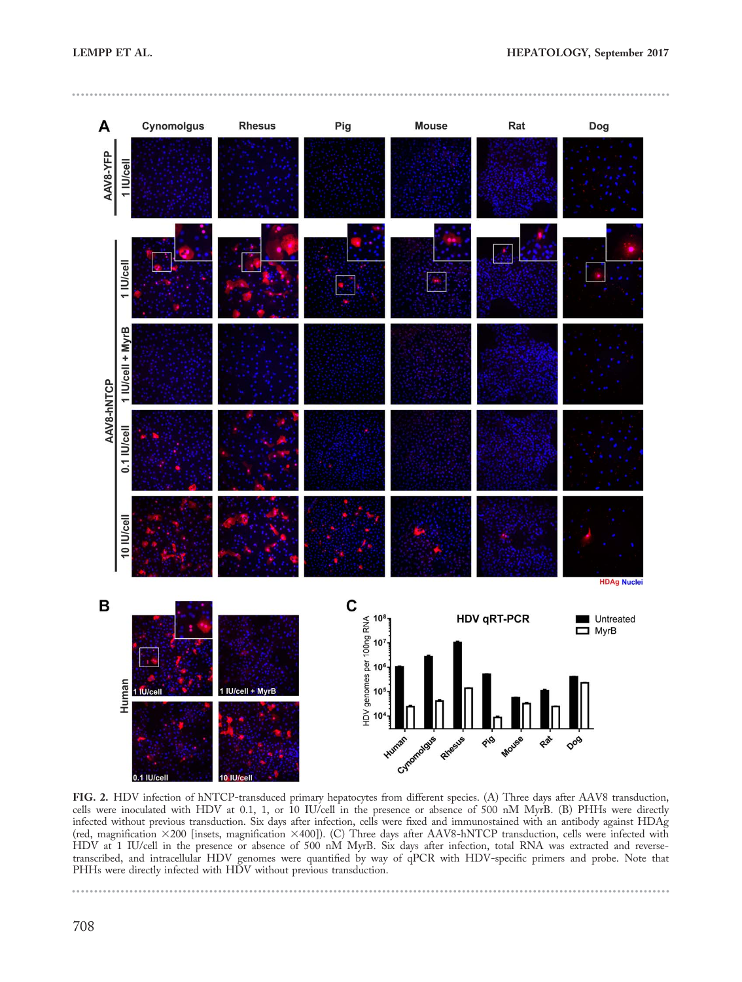



FIG. 2. HDV infection of hNTCP-transduced primary hepatocytes from different species. (A) Three days after AAV8 transduction, cells were inoculated with HDV at 0.1, 1, or 10 IU/cell in the presence or absence of 500 nM MyrB. (B) PHHs were directly infected without previous transduction. Six days after infection, cells were fixed and immunostained with an antibody against HDAg (red, magnification 3200 [insets, magnification 3400]). (C) Three days after AAV8-hNTCP transduction, cells were infected with HDV at 1 IU/cell in the presence or absence of 500 nM MyrB. Six days after infection, total RNA was extracted and reversetranscribed, and intracellular HDV genomes were quantified by way of qPCR with HDV-specific primers and probe. Note that PHHs were directly infected with HDV without previous transduction.

--------------------------------------------------------------------------- ----

----

----------------------------------------------------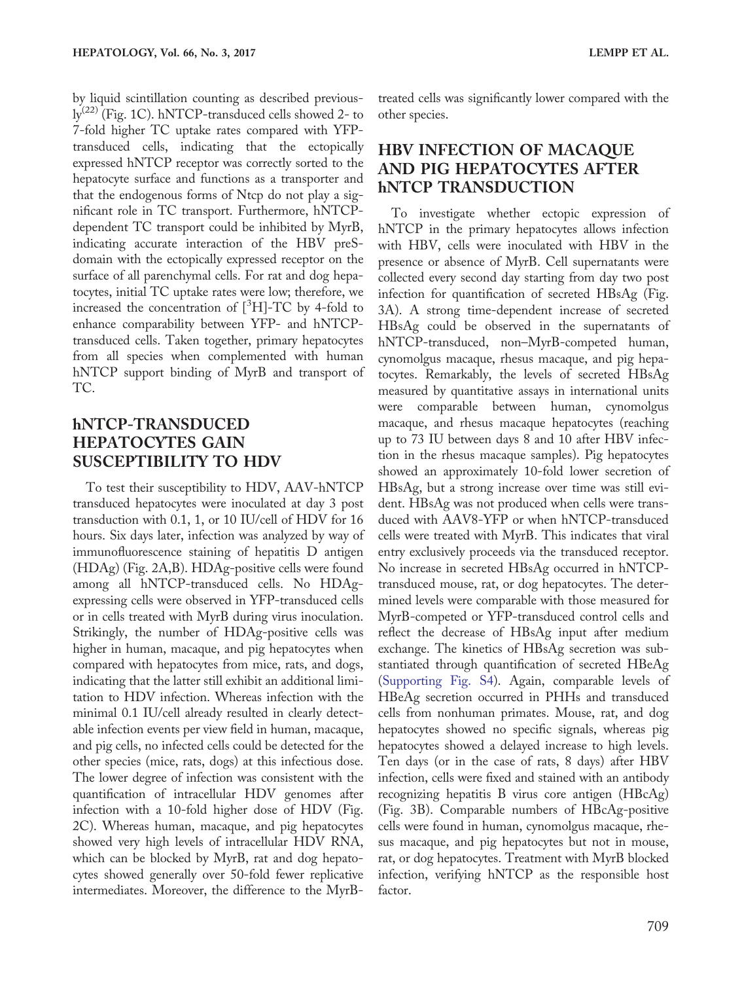by liquid scintillation counting as described previous- $\rm ly^{(22)}$  (Fig. 1C). hNTCP-transduced cells showed 2- to 7-fold higher TC uptake rates compared with YFPtransduced cells, indicating that the ectopically expressed hNTCP receptor was correctly sorted to the hepatocyte surface and functions as a transporter and that the endogenous forms of Ntcp do not play a significant role in TC transport. Furthermore, hNTCPdependent TC transport could be inhibited by MyrB, indicating accurate interaction of the HBV preSdomain with the ectopically expressed receptor on the surface of all parenchymal cells. For rat and dog hepatocytes, initial TC uptake rates were low; therefore, we increased the concentration of  $[^3H]$ -TC by 4-fold to enhance comparability between YFP- and hNTCPtransduced cells. Taken together, primary hepatocytes from all species when complemented with human hNTCP support binding of MyrB and transport of TC.

#### hNTCP-TRANSDUCED HEPATOCYTES GAIN SUSCEPTIBILITY TO HDV

To test their susceptibility to HDV, AAV-hNTCP transduced hepatocytes were inoculated at day 3 post transduction with 0.1, 1, or 10 IU/cell of HDV for 16 hours. Six days later, infection was analyzed by way of immunofluorescence staining of hepatitis D antigen (HDAg) (Fig. 2A,B). HDAg-positive cells were found among all hNTCP-transduced cells. No HDAgexpressing cells were observed in YFP-transduced cells or in cells treated with MyrB during virus inoculation. Strikingly, the number of HDAg-positive cells was higher in human, macaque, and pig hepatocytes when compared with hepatocytes from mice, rats, and dogs, indicating that the latter still exhibit an additional limitation to HDV infection. Whereas infection with the minimal 0.1 IU/cell already resulted in clearly detectable infection events per view field in human, macaque, and pig cells, no infected cells could be detected for the other species (mice, rats, dogs) at this infectious dose. The lower degree of infection was consistent with the quantification of intracellular HDV genomes after infection with a 10-fold higher dose of HDV (Fig. 2C). Whereas human, macaque, and pig hepatocytes showed very high levels of intracellular HDV RNA, which can be blocked by MyrB, rat and dog hepatocytes showed generally over 50-fold fewer replicative intermediates. Moreover, the difference to the MyrB-

treated cells was significantly lower compared with the other species.

### HBV INFECTION OF MACAQUE AND PIG HEPATOCYTES AFTER hNTCP TRANSDUCTION

To investigate whether ectopic expression of hNTCP in the primary hepatocytes allows infection with HBV, cells were inoculated with HBV in the presence or absence of MyrB. Cell supernatants were collected every second day starting from day two post infection for quantification of secreted HBsAg (Fig. 3A). A strong time-dependent increase of secreted HBsAg could be observed in the supernatants of hNTCP-transduced, non–MyrB-competed human, cynomolgus macaque, rhesus macaque, and pig hepatocytes. Remarkably, the levels of secreted HBsAg measured by quantitative assays in international units were comparable between human, cynomolgus macaque, and rhesus macaque hepatocytes (reaching up to 73 IU between days 8 and 10 after HBV infection in the rhesus macaque samples). Pig hepatocytes showed an approximately 10-fold lower secretion of HBsAg, but a strong increase over time was still evident. HBsAg was not produced when cells were transduced with AAV8-YFP or when hNTCP-transduced cells were treated with MyrB. This indicates that viral entry exclusively proceeds via the transduced receptor. No increase in secreted HBsAg occurred in hNTCPtransduced mouse, rat, or dog hepatocytes. The determined levels were comparable with those measured for MyrB-competed or YFP-transduced control cells and reflect the decrease of HBsAg input after medium exchange. The kinetics of HBsAg secretion was substantiated through quantification of secreted HBeAg ([Supporting Fig. S4](http://onlinelibrary.wiley.com/doi/10.1002/hep.29112/suppinfo)). Again, comparable levels of HBeAg secretion occurred in PHHs and transduced cells from nonhuman primates. Mouse, rat, and dog hepatocytes showed no specific signals, whereas pig hepatocytes showed a delayed increase to high levels. Ten days (or in the case of rats, 8 days) after HBV infection, cells were fixed and stained with an antibody recognizing hepatitis B virus core antigen (HBcAg) (Fig. 3B). Comparable numbers of HBcAg-positive cells were found in human, cynomolgus macaque, rhesus macaque, and pig hepatocytes but not in mouse, rat, or dog hepatocytes. Treatment with MyrB blocked infection, verifying hNTCP as the responsible host factor.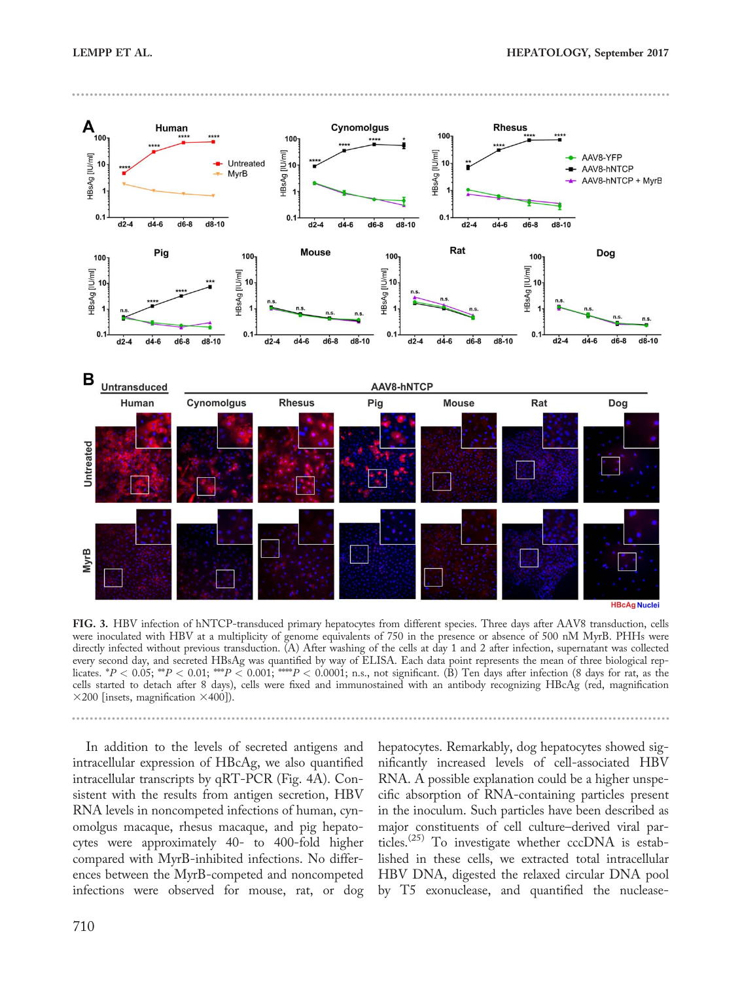------------------------------------------------------------------------------------------------------------------------------- --------



FIG. 3. HBV infection of hNTCP-transduced primary hepatocytes from different species. Three days after AAV8 transduction, cells were inoculated with HBV at a multiplicity of genome equivalents of 750 in the presence or absence of 500 nM MyrB. PHHs were directly infected without previous transduction. (A) After washing of the cells at day 1 and 2 after infection, supernatant was collected every second day, and secreted HBsAg was quantified by way of ELISA. Each data point represents the mean of three biological replicates. \* $P < 0.05$ ; \*\* $P < 0.01$ ; \*\*\* $P < 0.001$ ; \*\*\*\* $P < 0.0001$ ; n.s., not significant. (B) Ten days after infection (8 days for rat, as the cells started to detach after 8 days), cells were fixed and immunostained with an antibody recognizing HBcAg (red, magnification  $\times$ 200 [insets, magnification  $\times$ 400]).

In addition to the levels of secreted antigens and intracellular expression of HBcAg, we also quantified intracellular transcripts by qRT-PCR (Fig. 4A). Consistent with the results from antigen secretion, HBV RNA levels in noncompeted infections of human, cynomolgus macaque, rhesus macaque, and pig hepatocytes were approximately 40- to 400-fold higher compared with MyrB-inhibited infections. No differences between the MyrB-competed and noncompeted infections were observed for mouse, rat, or dog hepatocytes. Remarkably, dog hepatocytes showed significantly increased levels of cell-associated HBV RNA. A possible explanation could be a higher unspecific absorption of RNA-containing particles present in the inoculum. Such particles have been described as major constituents of cell culture–derived viral particles.<sup> $(25)$ </sup> To investigate whether cccDNA is established in these cells, we extracted total intracellular HBV DNA, digested the relaxed circular DNA pool by T5 exonuclease, and quantified the nuclease-

------------------------------------------------------------------------------------------------------------------------------- --------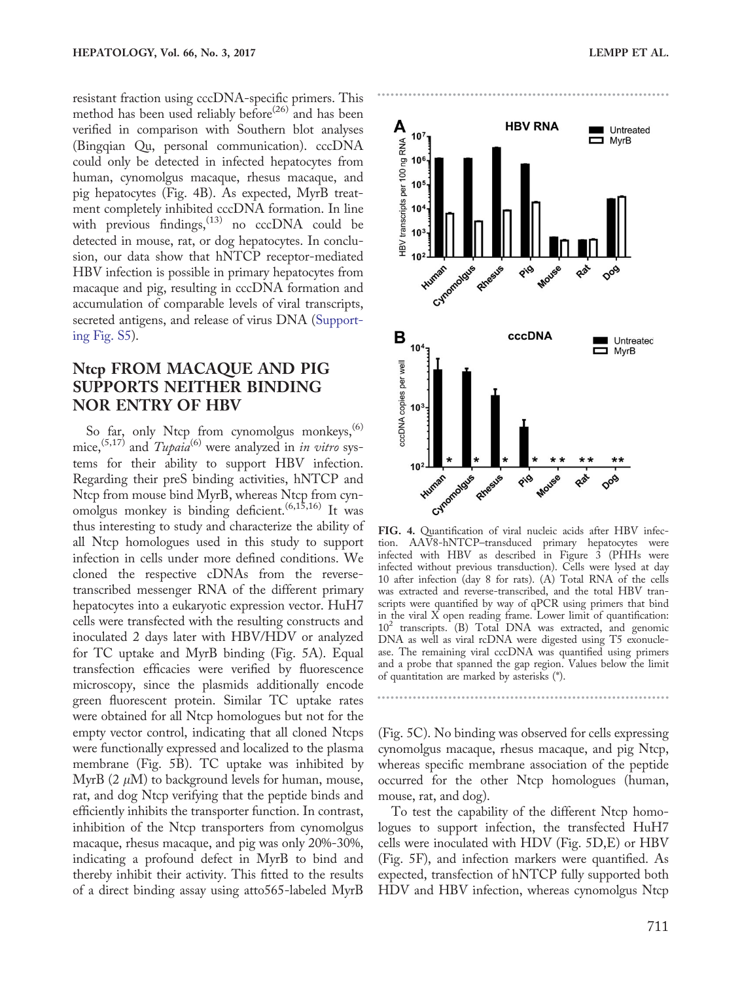resistant fraction using cccDNA-specific primers. This method has been used reliably before<sup>(26)</sup> and has been verified in comparison with Southern blot analyses (Bingqian Qu, personal communication). cccDNA could only be detected in infected hepatocytes from human, cynomolgus macaque, rhesus macaque, and pig hepatocytes (Fig. 4B). As expected, MyrB treatment completely inhibited cccDNA formation. In line with previous findings,  $^{(13)}$  no cccDNA could be detected in mouse, rat, or dog hepatocytes. In conclusion, our data show that hNTCP receptor-mediated HBV infection is possible in primary hepatocytes from macaque and pig, resulting in cccDNA formation and accumulation of comparable levels of viral transcripts, secreted antigens, and release of virus DNA [\(Support](http://onlinelibrary.wiley.com/doi/10.1002/hep.29112/suppinfo)[ing Fig. S5](http://onlinelibrary.wiley.com/doi/10.1002/hep.29112/suppinfo)).

#### Ntcp FROM MACAQUE AND PIG SUPPORTS NEITHER BINDING NOR ENTRY OF HBV

So far, only Ntcp from cynomolgus monkeys,  $(6)$ mice,<sup>(5,17)</sup> and  $Tupaia^{(6)}$  were analyzed in *in vitro* systems for their ability to support HBV infection. Regarding their preS binding activities, hNTCP and Ntcp from mouse bind MyrB, whereas Ntcp from cynomolgus monkey is binding deficient.<sup> $(6,15,16)$ </sup> It was thus interesting to study and characterize the ability of all Ntcp homologues used in this study to support infection in cells under more defined conditions. We cloned the respective cDNAs from the reversetranscribed messenger RNA of the different primary hepatocytes into a eukaryotic expression vector. HuH7 cells were transfected with the resulting constructs and inoculated 2 days later with HBV/HDV or analyzed for TC uptake and MyrB binding (Fig. 5A). Equal transfection efficacies were verified by fluorescence microscopy, since the plasmids additionally encode green fluorescent protein. Similar TC uptake rates were obtained for all Ntcp homologues but not for the empty vector control, indicating that all cloned Ntcps were functionally expressed and localized to the plasma membrane (Fig. 5B). TC uptake was inhibited by MyrB  $(2 \mu M)$  to background levels for human, mouse, rat, and dog Ntcp verifying that the peptide binds and efficiently inhibits the transporter function. In contrast, inhibition of the Ntcp transporters from cynomolgus macaque, rhesus macaque, and pig was only 20%-30%, indicating a profound defect in MyrB to bind and thereby inhibit their activity. This fitted to the results of a direct binding assay using atto565-labeled MyrB



FIG. 4. Quantification of viral nucleic acids after HBV infection. AAV8-hNTCP–transduced primary hepatocytes were infected with HBV as described in Figure 3 (PHHs were infected without previous transduction). Cells were lysed at day 10 after infection (day 8 for rats). (A) Total RNA of the cells was extracted and reverse-transcribed, and the total HBV transcripts were quantified by way of qPCR using primers that bind in the viral X open reading frame. Lower limit of quantification: 10<sup>2</sup> transcripts. (B) Total DNA was extracted, and genomic DNA as well as viral rcDNA were digested using T5 exonuclease. The remaining viral cccDNA was quantified using primers and a probe that spanned the gap region. Values below the limit of quantitation are marked by asterisks (\*).

(Fig. 5C). No binding was observed for cells expressing cynomolgus macaque, rhesus macaque, and pig Ntcp, whereas specific membrane association of the peptide occurred for the other Ntcp homologues (human, mouse, rat, and dog).

------------------------------------------------------------------

To test the capability of the different Ntcp homologues to support infection, the transfected HuH7 cells were inoculated with HDV (Fig. 5D,E) or HBV (Fig. 5F), and infection markers were quantified. As expected, transfection of hNTCP fully supported both HDV and HBV infection, whereas cynomolgus Ntcp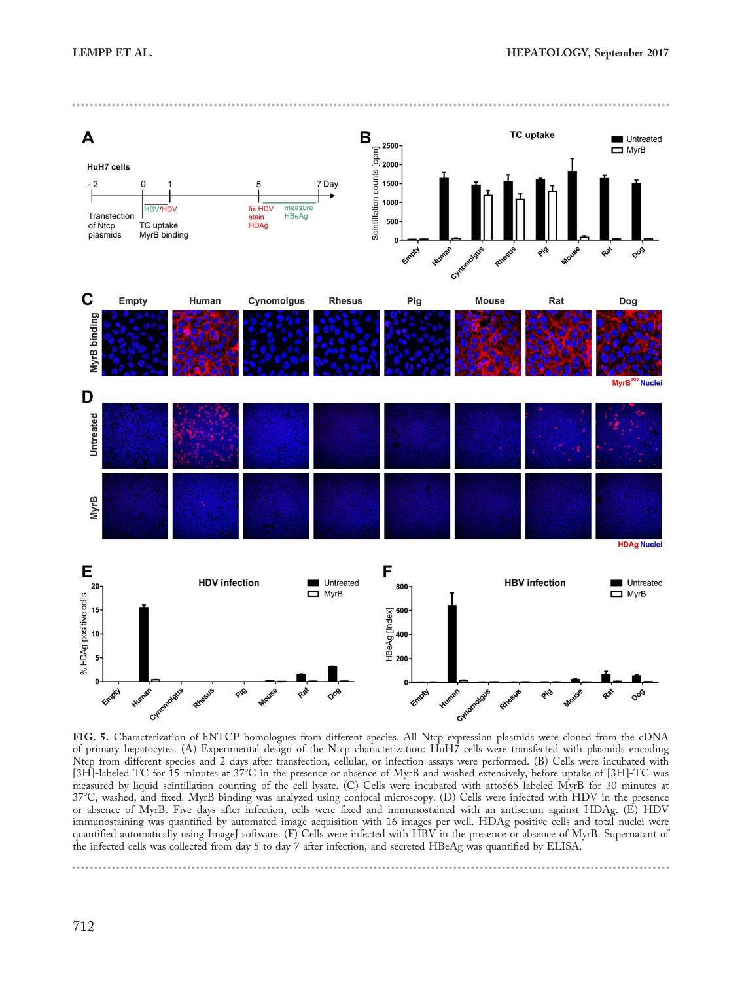

FIG. 5. Characterization of hNTCP homologues from different species. All Ntcp expression plasmids were cloned from the cDNA of primary hepatocytes. (A) Experimental design of the Ntcp characterization: HuH7 cells were transfected with plasmids encoding Ntcp from different species and 2 days after transfection, cellular, or infection assays were performed. (B) Cells were incubated with [3H]-labeled TC for 15 minutes at 37°C in the presence or absence of MyrB and washed extensively, before uptake of [3H]-TC was measured by liquid scintillation counting of the cell lysate. (C) Cells were incubated with atto565-labeled MyrB for 30 minutes at 378C, washed, and fixed. MyrB binding was analyzed using confocal microscopy. (D) Cells were infected with HDV in the presence or absence of MyrB. Five days after infection, cells were fixed and immunostained with an antiserum against HDAg. (E) HDV immunostaining was quantified by automated image acquisition with 16 images per well. HDAg-positive cells and total nuclei were quantified automatically using ImageJ software. (F) Cells were infected with HBV in the presence or absence of MyrB. Supernatant of the infected cells was collected from day 5 to day 7 after infection, and secreted HBeAg was quantified by ELISA.

------------------------------------------------------------------------------------------------------------------------------- --------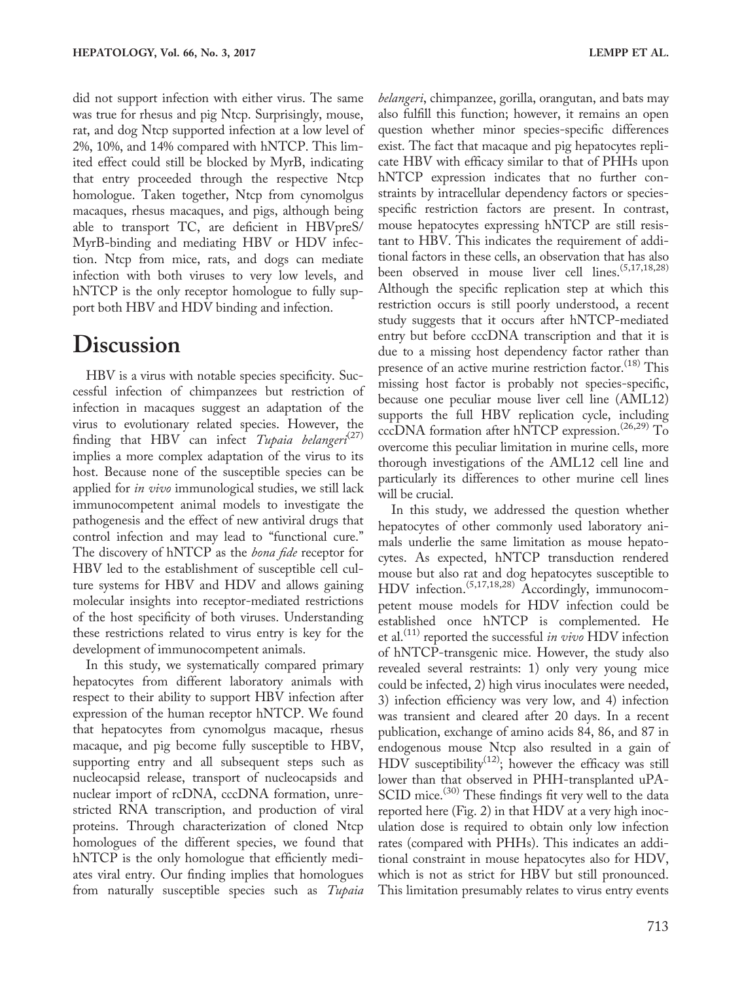did not support infection with either virus. The same was true for rhesus and pig Ntcp. Surprisingly, mouse, rat, and dog Ntcp supported infection at a low level of 2%, 10%, and 14% compared with hNTCP. This limited effect could still be blocked by MyrB, indicating that entry proceeded through the respective Ntcp homologue. Taken together, Ntcp from cynomolgus macaques, rhesus macaques, and pigs, although being able to transport TC, are deficient in HBVpreS/ MyrB-binding and mediating HBV or HDV infection. Ntcp from mice, rats, and dogs can mediate infection with both viruses to very low levels, and hNTCP is the only receptor homologue to fully support both HBV and HDV binding and infection.

### **Discussion**

HBV is a virus with notable species specificity. Successful infection of chimpanzees but restriction of infection in macaques suggest an adaptation of the virus to evolutionary related species. However, the finding that HBV can infect Tupaia belangeri $(27)$ implies a more complex adaptation of the virus to its host. Because none of the susceptible species can be applied for in vivo immunological studies, we still lack immunocompetent animal models to investigate the pathogenesis and the effect of new antiviral drugs that control infection and may lead to "functional cure." The discovery of hNTCP as the *bona fide* receptor for HBV led to the establishment of susceptible cell culture systems for HBV and HDV and allows gaining molecular insights into receptor-mediated restrictions of the host specificity of both viruses. Understanding these restrictions related to virus entry is key for the development of immunocompetent animals.

In this study, we systematically compared primary hepatocytes from different laboratory animals with respect to their ability to support HBV infection after expression of the human receptor hNTCP. We found that hepatocytes from cynomolgus macaque, rhesus macaque, and pig become fully susceptible to HBV, supporting entry and all subsequent steps such as nucleocapsid release, transport of nucleocapsids and nuclear import of rcDNA, cccDNA formation, unrestricted RNA transcription, and production of viral proteins. Through characterization of cloned Ntcp homologues of the different species, we found that hNTCP is the only homologue that efficiently mediates viral entry. Our finding implies that homologues from naturally susceptible species such as Tupaia

belangeri, chimpanzee, gorilla, orangutan, and bats may also fulfill this function; however, it remains an open question whether minor species-specific differences exist. The fact that macaque and pig hepatocytes replicate HBV with efficacy similar to that of PHHs upon hNTCP expression indicates that no further constraints by intracellular dependency factors or speciesspecific restriction factors are present. In contrast, mouse hepatocytes expressing hNTCP are still resistant to HBV. This indicates the requirement of additional factors in these cells, an observation that has also been observed in mouse liver cell lines.<sup>(5,17,18,28)</sup> Although the specific replication step at which this restriction occurs is still poorly understood, a recent study suggests that it occurs after hNTCP-mediated entry but before cccDNA transcription and that it is due to a missing host dependency factor rather than presence of an active murine restriction factor.<sup>(18)</sup> This missing host factor is probably not species-specific, because one peculiar mouse liver cell line (AML12) supports the full HBV replication cycle, including cccDNA formation after hNTCP expression.<sup> $(26,29)$ </sup> To overcome this peculiar limitation in murine cells, more thorough investigations of the AML12 cell line and particularly its differences to other murine cell lines will be crucial.

In this study, we addressed the question whether hepatocytes of other commonly used laboratory animals underlie the same limitation as mouse hepatocytes. As expected, hNTCP transduction rendered mouse but also rat and dog hepatocytes susceptible to HDV infection.<sup>(5,17,18,28)</sup> Accordingly, immunocompetent mouse models for HDV infection could be established once hNTCP is complemented. He et al.<sup>(11)</sup> reported the successful *in vivo* HDV infection of hNTCP-transgenic mice. However, the study also revealed several restraints: 1) only very young mice could be infected, 2) high virus inoculates were needed, 3) infection efficiency was very low, and 4) infection was transient and cleared after 20 days. In a recent publication, exchange of amino acids 84, 86, and 87 in endogenous mouse Ntcp also resulted in a gain of HDV susceptibility<sup>(12)</sup>; however the efficacy was still lower than that observed in PHH-transplanted uPA-SCID mice.<sup>(30)</sup> These findings fit very well to the data reported here (Fig. 2) in that HDV at a very high inoculation dose is required to obtain only low infection rates (compared with PHHs). This indicates an additional constraint in mouse hepatocytes also for HDV, which is not as strict for HBV but still pronounced. This limitation presumably relates to virus entry events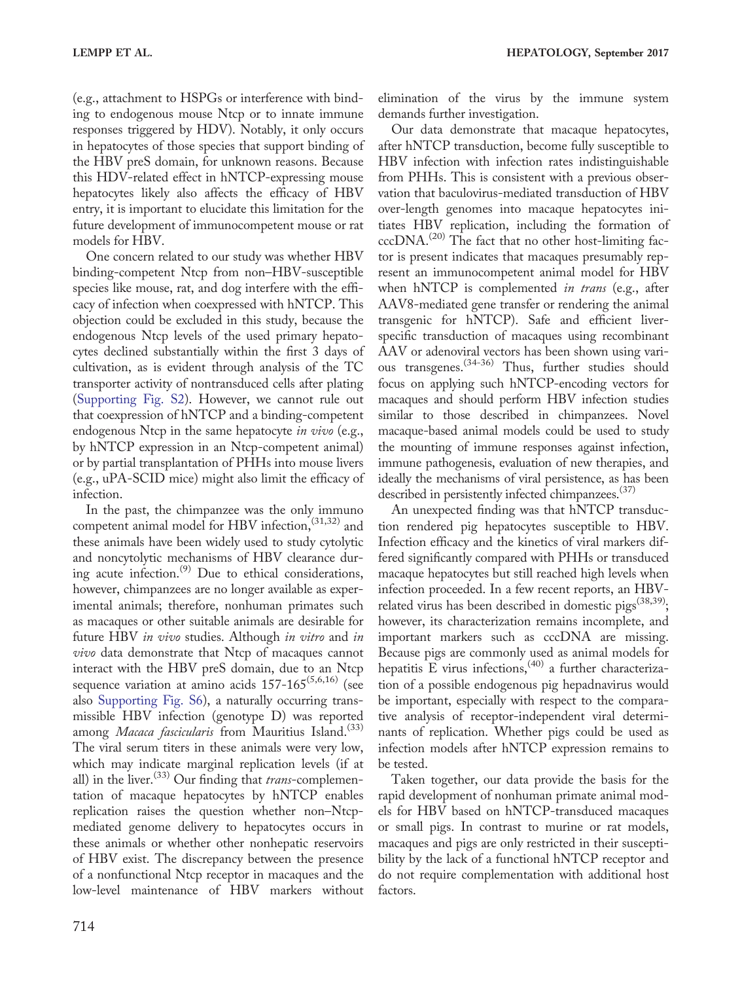(e.g., attachment to HSPGs or interference with binding to endogenous mouse Ntcp or to innate immune responses triggered by HDV). Notably, it only occurs in hepatocytes of those species that support binding of the HBV preS domain, for unknown reasons. Because this HDV-related effect in hNTCP-expressing mouse hepatocytes likely also affects the efficacy of HBV entry, it is important to elucidate this limitation for the future development of immunocompetent mouse or rat models for HBV.

One concern related to our study was whether HBV binding-competent Ntcp from non–HBV-susceptible species like mouse, rat, and dog interfere with the efficacy of infection when coexpressed with hNTCP. This objection could be excluded in this study, because the endogenous Ntcp levels of the used primary hepatocytes declined substantially within the first 3 days of cultivation, as is evident through analysis of the TC transporter activity of nontransduced cells after plating ([Supporting Fig. S2](http://onlinelibrary.wiley.com/doi/10.1002/hep.29112/suppinfo)). However, we cannot rule out that coexpression of hNTCP and a binding-competent endogenous Ntcp in the same hepatocyte in vivo (e.g., by hNTCP expression in an Ntcp-competent animal) or by partial transplantation of PHHs into mouse livers (e.g., uPA-SCID mice) might also limit the efficacy of infection.

In the past, the chimpanzee was the only immuno competent animal model for HBV infection,  $(31,32)$  and these animals have been widely used to study cytolytic and noncytolytic mechanisms of HBV clearance during acute infection.<sup>(9)</sup> Due to ethical considerations, however, chimpanzees are no longer available as experimental animals; therefore, nonhuman primates such as macaques or other suitable animals are desirable for future HBV in vivo studies. Although in vitro and in vivo data demonstrate that Ntcp of macaques cannot interact with the HBV preS domain, due to an Ntcp sequence variation at amino acids  $157-165^{(5,6,16)}$  (see also [Supporting Fig. S6](http://onlinelibrary.wiley.com/doi/10.1002/hep.29112/suppinfo)), a naturally occurring transmissible HBV infection (genotype D) was reported among Macaca fascicularis from Mauritius Island.<sup>(33)</sup> The viral serum titers in these animals were very low, which may indicate marginal replication levels (if at all) in the liver.<sup> $(33)$ </sup> Our finding that *trans*-complementation of macaque hepatocytes by hNTCP enables replication raises the question whether non–Ntcpmediated genome delivery to hepatocytes occurs in these animals or whether other nonhepatic reservoirs of HBV exist. The discrepancy between the presence of a nonfunctional Ntcp receptor in macaques and the low-level maintenance of HBV markers without

elimination of the virus by the immune system demands further investigation.

Our data demonstrate that macaque hepatocytes, after hNTCP transduction, become fully susceptible to HBV infection with infection rates indistinguishable from PHHs. This is consistent with a previous observation that baculovirus-mediated transduction of HBV over-length genomes into macaque hepatocytes initiates HBV replication, including the formation of  $cccDNA<sup>(20)</sup>$  The fact that no other host-limiting factor is present indicates that macaques presumably represent an immunocompetent animal model for HBV when hNTCP is complemented *in trans* (e.g., after AAV8-mediated gene transfer or rendering the animal transgenic for hNTCP). Safe and efficient liverspecific transduction of macaques using recombinant AAV or adenoviral vectors has been shown using various transgenes.(34-36) Thus, further studies should focus on applying such hNTCP-encoding vectors for macaques and should perform HBV infection studies similar to those described in chimpanzees. Novel macaque-based animal models could be used to study the mounting of immune responses against infection, immune pathogenesis, evaluation of new therapies, and ideally the mechanisms of viral persistence, as has been described in persistently infected chimpanzees.<sup>(37)</sup>

An unexpected finding was that hNTCP transduction rendered pig hepatocytes susceptible to HBV. Infection efficacy and the kinetics of viral markers differed significantly compared with PHHs or transduced macaque hepatocytes but still reached high levels when infection proceeded. In a few recent reports, an HBVrelated virus has been described in domestic pigs<sup> $(38,39)$ </sup>; however, its characterization remains incomplete, and important markers such as cccDNA are missing. Because pigs are commonly used as animal models for hepatitis E virus infections,  $(40)$  a further characterization of a possible endogenous pig hepadnavirus would be important, especially with respect to the comparative analysis of receptor-independent viral determinants of replication. Whether pigs could be used as infection models after hNTCP expression remains to be tested.

Taken together, our data provide the basis for the rapid development of nonhuman primate animal models for HBV based on hNTCP-transduced macaques or small pigs. In contrast to murine or rat models, macaques and pigs are only restricted in their susceptibility by the lack of a functional hNTCP receptor and do not require complementation with additional host factors.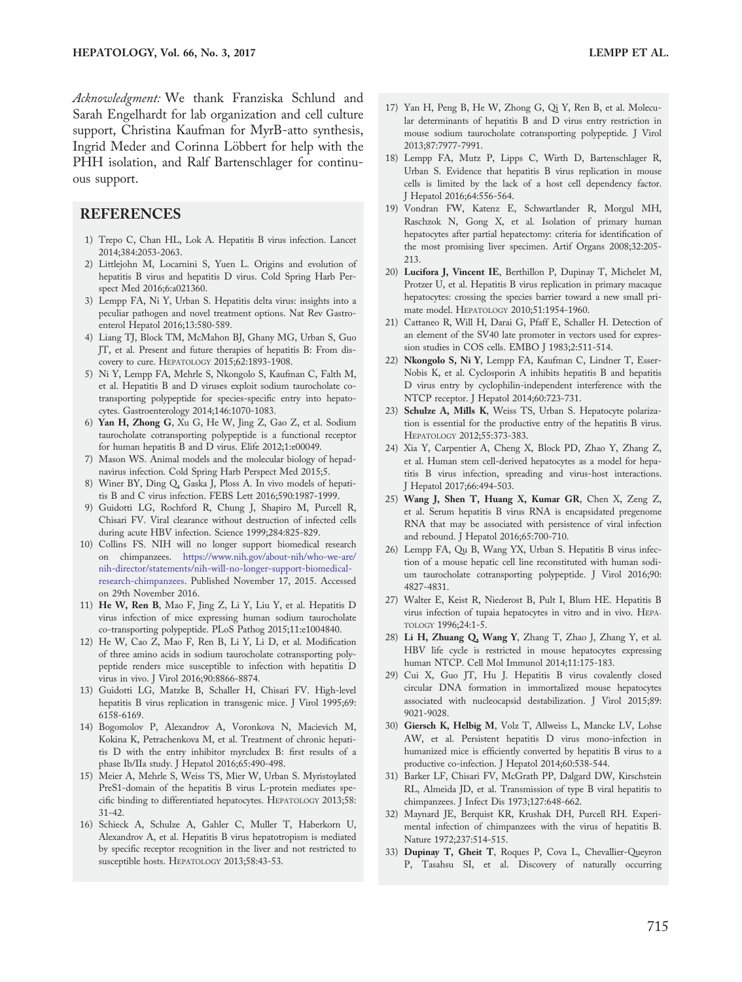Acknowledgment: We thank Franziska Schlund and Sarah Engelhardt for lab organization and cell culture support, Christina Kaufman for MyrB-atto synthesis, Ingrid Meder and Corinna Löbbert for help with the PHH isolation, and Ralf Bartenschlager for continu-

#### REFERENCES

ous support.

- 1) Trepo C, Chan HL, Lok A. Hepatitis B virus infection. Lancet 2014;384:2053-2063.
- 2) Littlejohn M, Locarnini S, Yuen L. Origins and evolution of hepatitis B virus and hepatitis D virus. Cold Spring Harb Perspect Med 2016;6:a021360.
- 3) Lempp FA, Ni Y, Urban S. Hepatitis delta virus: insights into a peculiar pathogen and novel treatment options. Nat Rev Gastroenterol Hepatol 2016;13:580-589.
- 4) Liang TJ, Block TM, McMahon BJ, Ghany MG, Urban S, Guo JT, et al. Present and future therapies of hepatitis B: From discovery to cure. HEPATOLOGY 2015;62:1893-1908.
- 5) Ni Y, Lempp FA, Mehrle S, Nkongolo S, Kaufman C, Falth M, et al. Hepatitis B and D viruses exploit sodium taurocholate cotransporting polypeptide for species-specific entry into hepatocytes. Gastroenterology 2014;146:1070-1083.
- 6) Yan H, Zhong G, Xu G, He W, Jing Z, Gao Z, et al. Sodium taurocholate cotransporting polypeptide is a functional receptor for human hepatitis B and D virus. Elife 2012;1:e00049.
- 7) Mason WS. Animal models and the molecular biology of hepadnavirus infection. Cold Spring Harb Perspect Med 2015;5.
- 8) Winer BY, Ding Q, Gaska J, Ploss A. In vivo models of hepatitis B and C virus infection. FEBS Lett 2016;590:1987-1999.
- 9) Guidotti LG, Rochford R, Chung J, Shapiro M, Purcell R, Chisari FV. Viral clearance without destruction of infected cells during acute HBV infection. Science 1999;284:825-829.
- 10) Collins FS. NIH will no longer support biomedical research on chimpanzees. [https://www.nih.gov/about-nih/who-we-are/](https://www.nih.gov/about-nih/who-we-are/nih-director/statements/nih-will-no-longer-support-biomedical-research-chimpanzees) [nih-director/statements/nih-will-no-longer-support-biomedical](https://www.nih.gov/about-nih/who-we-are/nih-director/statements/nih-will-no-longer-support-biomedical-research-chimpanzees)[research-chimpanzees](https://www.nih.gov/about-nih/who-we-are/nih-director/statements/nih-will-no-longer-support-biomedical-research-chimpanzees). Published November 17, 2015. Accessed on 29th November 2016.
- 11) He W, Ren B, Mao F, Jing Z, Li Y, Liu Y, et al. Hepatitis D virus infection of mice expressing human sodium taurocholate co-transporting polypeptide. PLoS Pathog 2015;11:e1004840.
- 12) He W, Cao Z, Mao F, Ren B, Li Y, Li D, et al. Modification of three amino acids in sodium taurocholate cotransporting polypeptide renders mice susceptible to infection with hepatitis D virus in vivo. J Virol 2016;90:8866-8874.
- 13) Guidotti LG, Matzke B, Schaller H, Chisari FV. High-level hepatitis B virus replication in transgenic mice. J Virol 1995;69: 6158-6169.
- 14) Bogomolov P, Alexandrov A, Voronkova N, Macievich M, Kokina K, Petrachenkova M, et al. Treatment of chronic hepatitis D with the entry inhibitor myrcludex B: first results of a phase Ib/IIa study. J Hepatol 2016;65:490-498.
- 15) Meier A, Mehrle S, Weiss TS, Mier W, Urban S. Myristoylated PreS1-domain of the hepatitis B virus L-protein mediates specific binding to differentiated hepatocytes. HEPATOLOGY 2013;58: 31-42.
- 16) Schieck A, Schulze A, Gahler C, Muller T, Haberkorn U, Alexandrov A, et al. Hepatitis B virus hepatotropism is mediated by specific receptor recognition in the liver and not restricted to susceptible hosts. HEPATOLOGY 2013;58:43-53.
- 17) Yan H, Peng B, He W, Zhong G, Qi Y, Ren B, et al. Molecular determinants of hepatitis B and D virus entry restriction in mouse sodium taurocholate cotransporting polypeptide. J Virol 2013;87:7977-7991.
- 18) Lempp FA, Mutz P, Lipps C, Wirth D, Bartenschlager R, Urban S. Evidence that hepatitis B virus replication in mouse cells is limited by the lack of a host cell dependency factor. J Hepatol 2016;64:556-564.
- 19) Vondran FW, Katenz E, Schwartlander R, Morgul MH, Raschzok N, Gong X, et al. Isolation of primary human hepatocytes after partial hepatectomy: criteria for identification of the most promising liver specimen. Artif Organs 2008;32:205- 213.
- 20) Lucifora J, Vincent IE, Berthillon P, Dupinay T, Michelet M, Protzer U, et al. Hepatitis B virus replication in primary macaque hepatocytes: crossing the species barrier toward a new small primate model. HEPATOLOGY 2010;51:1954-1960.
- 21) Cattaneo R, Will H, Darai G, Pfaff E, Schaller H. Detection of an element of the SV40 late promoter in vectors used for expression studies in COS cells. EMBO J 1983;2:511-514.
- 22) Nkongolo S, Ni Y, Lempp FA, Kaufman C, Lindner T, Esser-Nobis K, et al. Cyclosporin A inhibits hepatitis B and hepatitis D virus entry by cyclophilin-independent interference with the NTCP receptor. J Hepatol 2014;60:723-731.
- 23) Schulze A, Mills K, Weiss TS, Urban S. Hepatocyte polarization is essential for the productive entry of the hepatitis B virus. HEPATOLOGY 2012;55:373-383.
- 24) Xia Y, Carpentier A, Cheng X, Block PD, Zhao Y, Zhang Z, et al. Human stem cell-derived hepatocytes as a model for hepatitis B virus infection, spreading and virus-host interactions. J Hepatol 2017;66:494-503.
- 25) Wang J, Shen T, Huang X, Kumar GR, Chen X, Zeng Z, et al. Serum hepatitis B virus RNA is encapsidated pregenome RNA that may be associated with persistence of viral infection and rebound. J Hepatol 2016;65:700-710.
- 26) Lempp FA, Qu B, Wang YX, Urban S. Hepatitis B virus infection of a mouse hepatic cell line reconstituted with human sodium taurocholate cotransporting polypeptide. J Virol 2016;90: 4827-4831.
- 27) Walter E, Keist R, Niederost B, Pult I, Blum HE. Hepatitis B virus infection of tupaia hepatocytes in vitro and in vivo. HEPA-TOLOGY 1996;24:1-5.
- 28) Li H, Zhuang Q, Wang Y, Zhang T, Zhao J, Zhang Y, et al. HBV life cycle is restricted in mouse hepatocytes expressing human NTCP. Cell Mol Immunol 2014;11:175-183.
- 29) Cui X, Guo JT, Hu J. Hepatitis B virus covalently closed circular DNA formation in immortalized mouse hepatocytes associated with nucleocapsid destabilization. J Virol 2015;89: 9021-9028.
- 30) Giersch K, Helbig M, Volz T, Allweiss L, Mancke LV, Lohse AW, et al. Persistent hepatitis D virus mono-infection in humanized mice is efficiently converted by hepatitis B virus to a productive co-infection. J Hepatol 2014;60:538-544.
- 31) Barker LF, Chisari FV, McGrath PP, Dalgard DW, Kirschstein RL, Almeida JD, et al. Transmission of type B viral hepatitis to chimpanzees. J Infect Dis 1973;127:648-662.
- 32) Maynard JE, Berquist KR, Krushak DH, Purcell RH. Experimental infection of chimpanzees with the virus of hepatitis B. Nature 1972;237:514-515.
- 33) Dupinay T, Gheit T, Roques P, Cova L, Chevallier-Queyron P, Tasahsu SI, et al. Discovery of naturally occurring